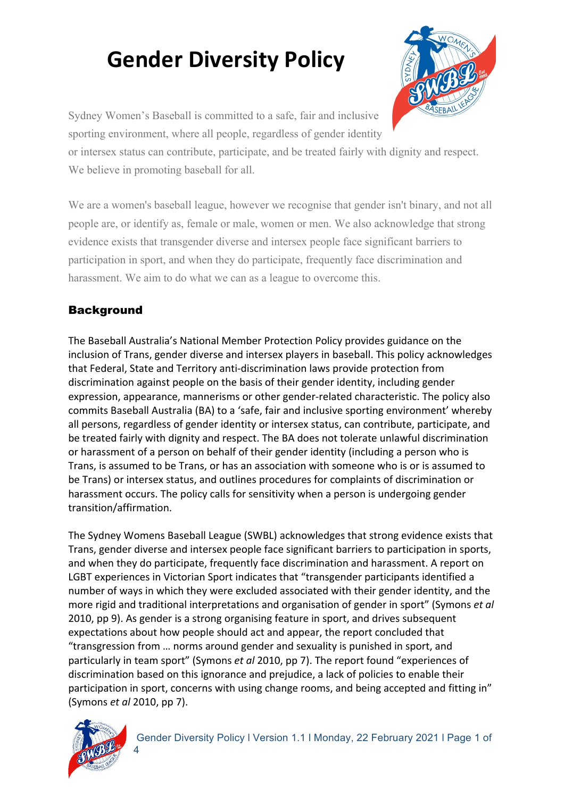

Sydney Women's Baseball is committed to a safe, fair and inclusive sporting environment, where all people, regardless of gender identity

or intersex status can contribute, participate, and be treated fairly with dignity and respect. We believe in promoting baseball for all.

We are a women's baseball league, however we recognise that gender isn't binary, and not all people are, or identify as, female or male, women or men. We also acknowledge that strong evidence exists that transgender diverse and intersex people face significant barriers to participation in sport, and when they do participate, frequently face discrimination and harassment. We aim to do what we can as a league to overcome this.

### **Background**

The Baseball Australia's National Member Protection Policy provides guidance on the inclusion of Trans, gender diverse and intersex players in baseball. This policy acknowledges that Federal, State and Territory anti-discrimination laws provide protection from discrimination against people on the basis of their gender identity, including gender expression, appearance, mannerisms or other gender-related characteristic. The policy also commits Baseball Australia (BA) to a 'safe, fair and inclusive sporting environment' whereby all persons, regardless of gender identity or intersex status, can contribute, participate, and be treated fairly with dignity and respect. The BA does not tolerate unlawful discrimination or harassment of a person on behalf of their gender identity (including a person who is Trans, is assumed to be Trans, or has an association with someone who is or is assumed to be Trans) or intersex status, and outlines procedures for complaints of discrimination or harassment occurs. The policy calls for sensitivity when a person is undergoing gender transition/affirmation. 

The Sydney Womens Baseball League (SWBL) acknowledges that strong evidence exists that Trans, gender diverse and intersex people face significant barriers to participation in sports, and when they do participate, frequently face discrimination and harassment. A report on LGBT experiences in Victorian Sport indicates that "transgender participants identified a number of ways in which they were excluded associated with their gender identity, and the more rigid and traditional interpretations and organisation of gender in sport" (Symons et al 2010, pp 9). As gender is a strong organising feature in sport, and drives subsequent expectations about how people should act and appear, the report concluded that "transgression from ... norms around gender and sexuality is punished in sport, and particularly in team sport" (Symons *et al* 2010, pp 7). The report found "experiences of discrimination based on this ignorance and prejudice, a lack of policies to enable their participation in sport, concerns with using change rooms, and being accepted and fitting in" (Symons *et al* 2010, pp 7).

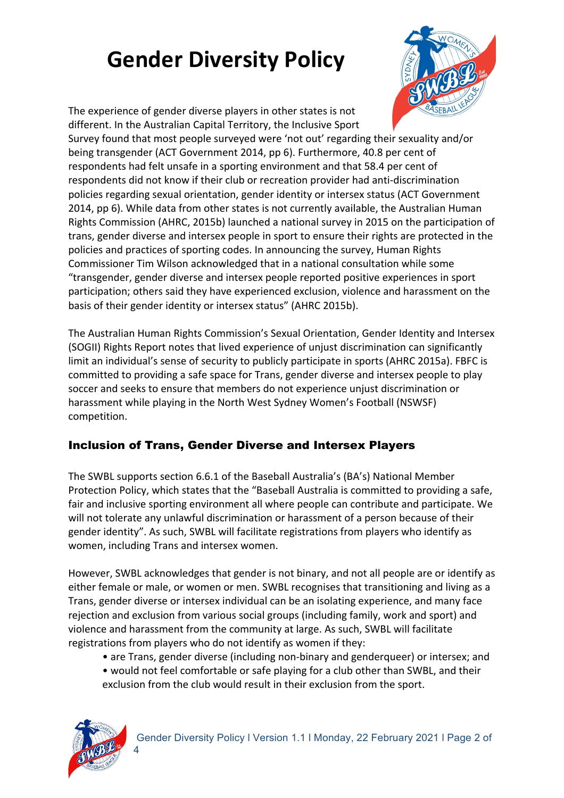

The experience of gender diverse players in other states is not different. In the Australian Capital Territory, the Inclusive Sport

Survey found that most people surveyed were 'not out' regarding their sexuality and/or being transgender (ACT Government 2014, pp 6). Furthermore, 40.8 per cent of respondents had felt unsafe in a sporting environment and that 58.4 per cent of respondents did not know if their club or recreation provider had anti-discrimination policies regarding sexual orientation, gender identity or intersex status (ACT Government 2014, pp 6). While data from other states is not currently available, the Australian Human Rights Commission (AHRC, 2015b) launched a national survey in 2015 on the participation of trans, gender diverse and intersex people in sport to ensure their rights are protected in the policies and practices of sporting codes. In announcing the survey, Human Rights Commissioner Tim Wilson acknowledged that in a national consultation while some "transgender, gender diverse and intersex people reported positive experiences in sport participation; others said they have experienced exclusion, violence and harassment on the basis of their gender identity or intersex status" (AHRC 2015b).

The Australian Human Rights Commission's Sexual Orientation, Gender Identity and Intersex (SOGII) Rights Report notes that lived experience of unjust discrimination can significantly limit an individual's sense of security to publicly participate in sports (AHRC 2015a). FBFC is committed to providing a safe space for Trans, gender diverse and intersex people to play soccer and seeks to ensure that members do not experience unjust discrimination or harassment while playing in the North West Sydney Women's Football (NSWSF) competition. 

### Inclusion of Trans, Gender Diverse and Intersex Players

The SWBL supports section 6.6.1 of the Baseball Australia's (BA's) National Member Protection Policy, which states that the "Baseball Australia is committed to providing a safe, fair and inclusive sporting environment all where people can contribute and participate. We will not tolerate any unlawful discrimination or harassment of a person because of their gender identity". As such, SWBL will facilitate registrations from players who identify as women, including Trans and intersex women.

However, SWBL acknowledges that gender is not binary, and not all people are or identify as either female or male, or women or men. SWBL recognises that transitioning and living as a Trans, gender diverse or intersex individual can be an isolating experience, and many face rejection and exclusion from various social groups (including family, work and sport) and violence and harassment from the community at large. As such, SWBL will facilitate registrations from players who do not identify as women if they:

- are Trans, gender diverse (including non-binary and genderqueer) or intersex; and
- would not feel comfortable or safe playing for a club other than SWBL, and their exclusion from the club would result in their exclusion from the sport.



4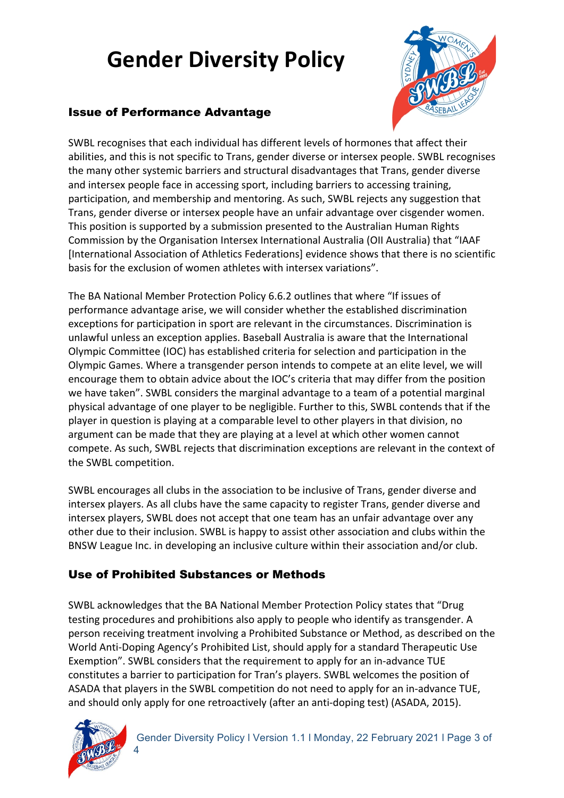



SWBL recognises that each individual has different levels of hormones that affect their abilities, and this is not specific to Trans, gender diverse or intersex people. SWBL recognises the many other systemic barriers and structural disadvantages that Trans, gender diverse and intersex people face in accessing sport, including barriers to accessing training, participation, and membership and mentoring. As such, SWBL rejects any suggestion that Trans, gender diverse or intersex people have an unfair advantage over cisgender women. This position is supported by a submission presented to the Australian Human Rights Commission by the Organisation Intersex International Australia (OII Australia) that "IAAF [International Association of Athletics Federations] evidence shows that there is no scientific basis for the exclusion of women athletes with intersex variations".

The BA National Member Protection Policy 6.6.2 outlines that where "If issues of performance advantage arise, we will consider whether the established discrimination exceptions for participation in sport are relevant in the circumstances. Discrimination is unlawful unless an exception applies. Baseball Australia is aware that the International Olympic Committee (IOC) has established criteria for selection and participation in the Olympic Games. Where a transgender person intends to compete at an elite level, we will encourage them to obtain advice about the IOC's criteria that may differ from the position we have taken". SWBL considers the marginal advantage to a team of a potential marginal physical advantage of one player to be negligible. Further to this, SWBL contends that if the player in question is playing at a comparable level to other players in that division, no argument can be made that they are playing at a level at which other women cannot compete. As such, SWBL rejects that discrimination exceptions are relevant in the context of the SWBL competition.

SWBL encourages all clubs in the association to be inclusive of Trans, gender diverse and intersex players. As all clubs have the same capacity to register Trans, gender diverse and intersex players, SWBL does not accept that one team has an unfair advantage over any other due to their inclusion. SWBL is happy to assist other association and clubs within the BNSW League Inc. in developing an inclusive culture within their association and/or club.

### Use of Prohibited Substances or Methods

SWBL acknowledges that the BA National Member Protection Policy states that "Drug testing procedures and prohibitions also apply to people who identify as transgender. A person receiving treatment involving a Prohibited Substance or Method, as described on the World Anti-Doping Agency's Prohibited List, should apply for a standard Therapeutic Use Exemption". SWBL considers that the requirement to apply for an in-advance TUE constitutes a barrier to participation for Tran's players. SWBL welcomes the position of ASADA that players in the SWBL competition do not need to apply for an in-advance TUE, and should only apply for one retroactively (after an anti-doping test) (ASADA, 2015).